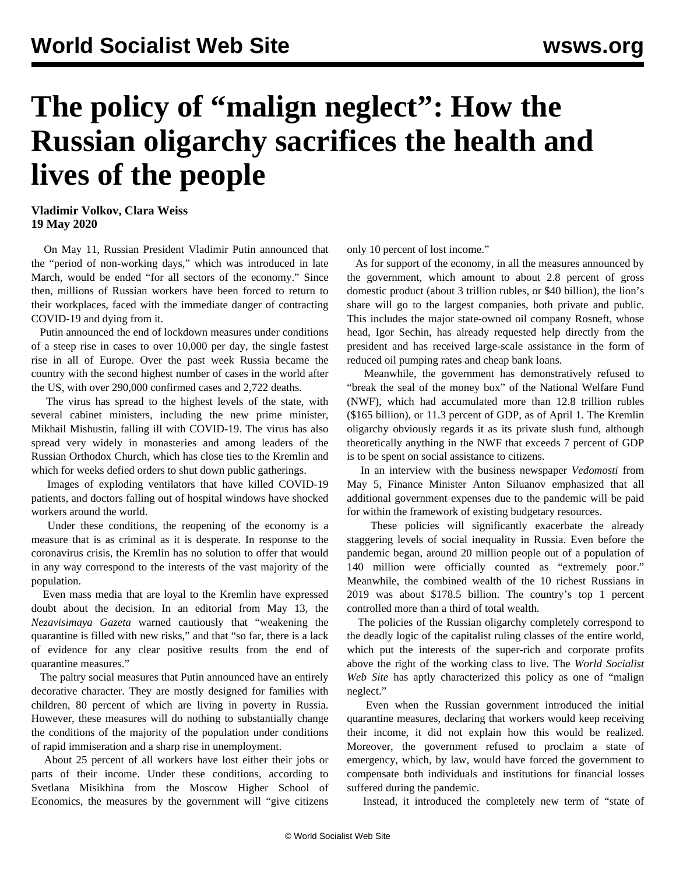## **The policy of "malign neglect": How the Russian oligarchy sacrifices the health and lives of the people**

**Vladimir Volkov, Clara Weiss 19 May 2020**

 On May 11, Russian President Vladimir Putin announced that the "period of non-working days," which was introduced in late March, would be ended "for all sectors of the economy." Since then, millions of Russian workers have been forced to return to their workplaces, faced with the immediate danger of contracting COVID-19 and dying from it.

 Putin announced the end of lockdown measures under conditions of a steep rise in cases to over 10,000 per day, the single fastest rise in all of Europe. Over the past week Russia became the country with the second highest number of cases in the world after the US, with over 290,000 confirmed cases and 2,722 deaths.

 The virus has spread to the highest levels of the state, with several cabinet ministers, including the new prime minister, Mikhail Mishustin, falling ill with COVID-19. The virus has also spread very widely in monasteries and among leaders of the Russian Orthodox Church, which has close ties to the Kremlin and which for weeks defied orders to shut down public gatherings.

 Images of exploding ventilators that have killed COVID-19 patients, and doctors falling out of hospital windows have shocked workers around the world.

 Under these conditions, the reopening of the economy is a measure that is as criminal as it is desperate. In response to the coronavirus crisis, the Kremlin has no solution to offer that would in any way correspond to the interests of the vast majority of the population.

 Even mass media that are loyal to the Kremlin have expressed doubt about the decision. In an editorial from May 13, the *Nezavisimaya Gazeta* warned cautiously that "weakening the quarantine is filled with new risks," and that "so far, there is a lack of evidence for any clear positive results from the end of quarantine measures."

 The paltry social measures that Putin announced have an entirely decorative character. They are mostly designed for families with children, 80 percent of which are living in poverty in Russia. However, these measures will do nothing to substantially change the conditions of the majority of the population under conditions of rapid immiseration and a sharp rise in unemployment.

 About 25 percent of all workers have lost either their jobs or parts of their income. Under these conditions, according to Svetlana Misikhina from the Moscow Higher School of Economics, the measures by the government will "give citizens

only 10 percent of lost income."

 As for support of the economy, in all the measures announced by the government, which amount to about 2.8 percent of gross domestic product (about 3 trillion rubles, or \$40 billion), the lion's share will go to the largest companies, both private and public. This includes the major state-owned oil company Rosneft, whose head, Igor Sechin, has already requested help directly from the president and has received large-scale assistance in the form of reduced oil pumping rates and cheap bank loans.

 Meanwhile, the government has demonstratively refused to "break the seal of the money box" of the National Welfare Fund (NWF), which had accumulated more than 12.8 trillion rubles (\$165 billion), or 11.3 percent of GDP, as of April 1. The Kremlin oligarchy obviously regards it as its private slush fund, although theoretically anything in the NWF that exceeds 7 percent of GDP is to be spent on social assistance to citizens.

 In an interview with the business newspaper *Vedomosti* from May 5, Finance Minister Anton Siluanov emphasized that all additional government expenses due to the pandemic will be paid for within the framework of existing budgetary resources.

 These policies will significantly exacerbate the already staggering levels of social inequality in Russia. Even before the pandemic began, around 20 million people out of a population of 140 million were officially counted as "extremely poor." Meanwhile, the combined wealth of the 10 richest Russians in 2019 was about \$178.5 billion. The country's top 1 percent controlled more than a third of total wealth.

 The policies of the Russian oligarchy completely correspond to the deadly logic of the capitalist ruling classes of the entire world, which put the interests of the super-rich and corporate profits above the right of the working class to live. The *World Socialist Web Site* has aptly characterized this policy as one of "malign neglect."

 Even when the Russian government introduced the initial quarantine measures, declaring that workers would keep receiving their income, it did not explain how this would be realized. Moreover, the government refused to proclaim a state of emergency, which, by law, would have forced the government to compensate both individuals and institutions for financial losses suffered during the pandemic.

Instead, it introduced the completely new term of "state of